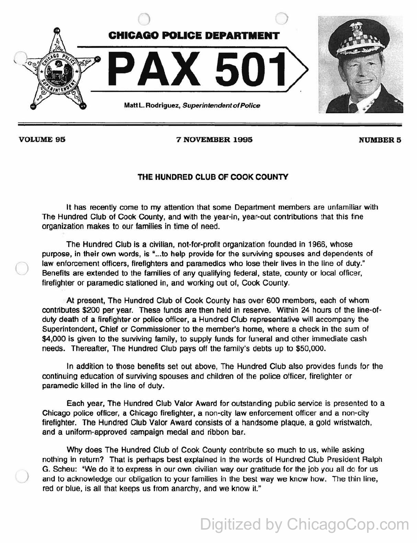

 $\bigcirc$ 

)

VOLUME 95 7 NOVEMBER 1995 2001 NUMBER 5

## THE HUNDRED CLUB OF COOK COUNTY

It has recently come to my attention that some Department members are unfamiliar with The Hundred Club of Cook County, and with the year-in, year-out contributions that this fine organization makes to our families in time of need.

The Hundred Club is a civilian, not-for-profit organization founded in 1966, whose purpose, in their own words, is "...to help provide for the surviving spouses and dependents of law enforcement officers, firefighters and paramedics who lose their lives in the line of duty." Benefits are extended to the families of any qualifying federal, state, county or local officer, firefighter or paramedic stationed in, and working out of, Cook County.

At present, The Hundred Club of Cook County has over 600 members, each of whom contributes \$200 per year. These funds are then held in reserve. Within 24 hours of the line-of· duty death of a firefighter or police officer, a Hundred Club representative will accompany the Superintendent, Chief or Commissioner to the member's home, where a check in the sum of \$4,000 is given to the surviving family, to supply funds for funeral and other immediate cash needs. Thereafter, The Hundred Club pays off the family's debts up to \$50,000.

In addition to those benefits set out above, The Hundred Club also provides funds for the continuing education of surviving spouses and children of the police officer, firefighter or paramedic killed in the line of duty.

Each year, The Hundred Club Valor Award for outstanding public service is presented to a Chicago police officer, a Chicago firefighter, a non-city law enforcement officer and a non-city firefighter. The Hundred Club Valor Award consists of a handsome plaque, a gold wristwatch, and a uniform-approved campaign medal and ribbon bar.

Why does The Hundred Club of Cook County contribute so much to us, while asking nothing in return? That is perhaps best explained in the words of Hundred Club President Ralph G. Scheu: "We do it to express in our own civilian way our gratitude for the job you all do for us and to acknowledge our obligation to your families in the best way we know how. The thin line, red or blue, is all that keeps us from anarchy, and we know it."

Digitized by ChicagoCop.com